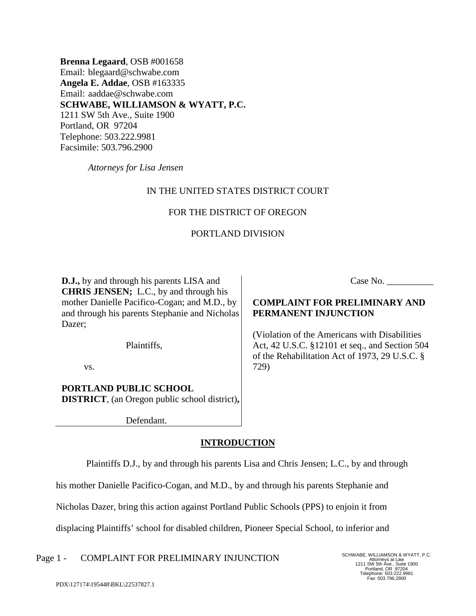**Brenna Legaard**, OSB #001658 Email: blegaard@schwabe.com **Angela E. Addae**, OSB #163335 Email: aaddae@schwabe.com **SCHWABE, WILLIAMSON & WYATT, P.C.** 1211 SW 5th Ave., Suite 1900 Portland, OR 97204 Telephone: 503.222.9981 Facsimile: 503.796.2900

*Attorneys for Lisa Jensen*

# IN THE UNITED STATES DISTRICT COURT

## FOR THE DISTRICT OF OREGON

## PORTLAND DIVISION

**D.J.,** by and through his parents LISA and **CHRIS JENSEN;** L.C., by and through his mother Danielle Pacifico-Cogan; and M.D., by and through his parents Stephanie and Nicholas Dazer;

Plaintiffs,

vs.

# **PORTLAND PUBLIC SCHOOL DISTRICT**, (an Oregon public school district)**,**

Defendant.

## **INTRODUCTION**

Plaintiffs D.J., by and through his parents Lisa and Chris Jensen; L.C., by and through

his mother Danielle Pacifico-Cogan, and M.D., by and through his parents Stephanie and

Nicholas Dazer, bring this action against Portland Public Schools (PPS) to enjoin it from

displacing Plaintiffs' school for disabled children, Pioneer Special School, to inferior and

Page 1 - COMPLAINT FOR PRELIMINARY INJUNCTION SCHWABE, WILLIAMSON & WYATT, P.C.

Attorneys at Law 1211 SW 5th Ave., Suite 1900 Portland, OR 97204 Telephone: 503.222.9981 Fax: 503.796.2900

Case No.

# **COMPLAINT FOR PRELIMINARY AND PERMANENT INJUNCTION**

(Violation of the Americans with Disabilities Act, 42 U.S.C. §12101 et seq., and Section 504 of the Rehabilitation Act of 1973, 29 U.S.C. § 729)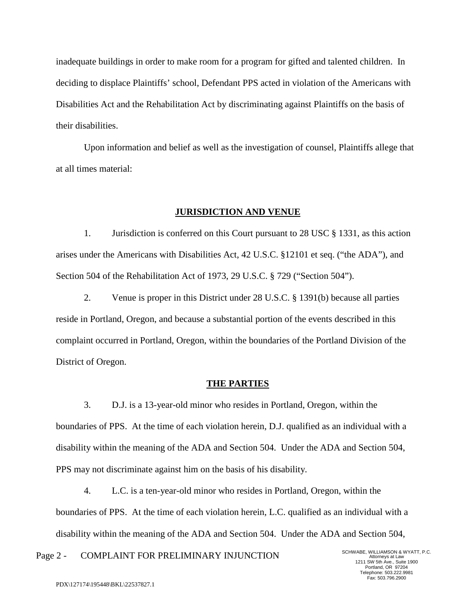inadequate buildings in order to make room for a program for gifted and talented children. In deciding to displace Plaintiffs' school, Defendant PPS acted in violation of the Americans with Disabilities Act and the Rehabilitation Act by discriminating against Plaintiffs on the basis of their disabilities.

Upon information and belief as well as the investigation of counsel, Plaintiffs allege that at all times material:

### **JURISDICTION AND VENUE**

1. Jurisdiction is conferred on this Court pursuant to 28 USC § 1331, as this action arises under the Americans with Disabilities Act, 42 U.S.C. §12101 et seq. ("the ADA"), and Section 504 of the Rehabilitation Act of 1973, 29 U.S.C. § 729 ("Section 504").

2. Venue is proper in this District under 28 U.S.C. § 1391(b) because all parties reside in Portland, Oregon, and because a substantial portion of the events described in this complaint occurred in Portland, Oregon, within the boundaries of the Portland Division of the District of Oregon.

#### **THE PARTIES**

3. D.J. is a 13-year-old minor who resides in Portland, Oregon, within the boundaries of PPS. At the time of each violation herein, D.J. qualified as an individual with a disability within the meaning of the ADA and Section 504. Under the ADA and Section 504, PPS may not discriminate against him on the basis of his disability.

4. L.C. is a ten-year-old minor who resides in Portland, Oregon, within the boundaries of PPS. At the time of each violation herein, L.C. qualified as an individual with a disability within the meaning of the ADA and Section 504. Under the ADA and Section 504,

Page 2 - COMPLAINT FOR PRELIMINARY INJUNCTION SCHWABE, WILLIAMSON & WYATT, P.C.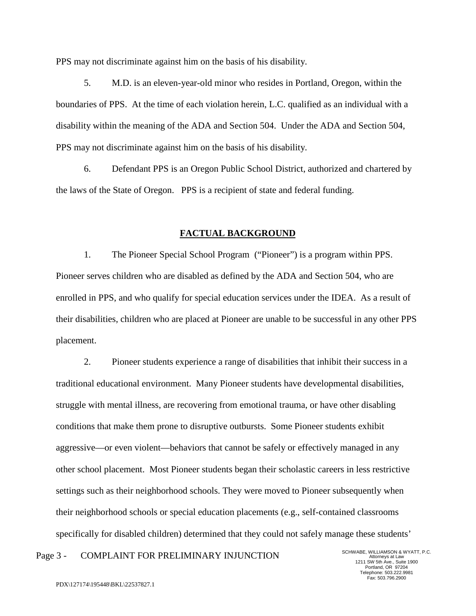PPS may not discriminate against him on the basis of his disability.

5. M.D. is an eleven-year-old minor who resides in Portland, Oregon, within the boundaries of PPS. At the time of each violation herein, L.C. qualified as an individual with a disability within the meaning of the ADA and Section 504. Under the ADA and Section 504, PPS may not discriminate against him on the basis of his disability.

6. Defendant PPS is an Oregon Public School District, authorized and chartered by the laws of the State of Oregon. PPS is a recipient of state and federal funding.

### **FACTUAL BACKGROUND**

1. The Pioneer Special School Program ("Pioneer") is a program within PPS. Pioneer serves children who are disabled as defined by the ADA and Section 504, who are enrolled in PPS, and who qualify for special education services under the IDEA. As a result of their disabilities, children who are placed at Pioneer are unable to be successful in any other PPS placement.

2. Pioneer students experience a range of disabilities that inhibit their success in a traditional educational environment. Many Pioneer students have developmental disabilities, struggle with mental illness, are recovering from emotional trauma, or have other disabling conditions that make them prone to disruptive outbursts. Some Pioneer students exhibit aggressive—or even violent—behaviors that cannot be safely or effectively managed in any other school placement. Most Pioneer students began their scholastic careers in less restrictive settings such as their neighborhood schools. They were moved to Pioneer subsequently when their neighborhood schools or special education placements (e.g., self-contained classrooms specifically for disabled children) determined that they could not safely manage these students'

Page 3 - COMPLAINT FOR PRELIMINARY INJUNCTION SCHWABE, WILLIAMSON & WYATT, P.C.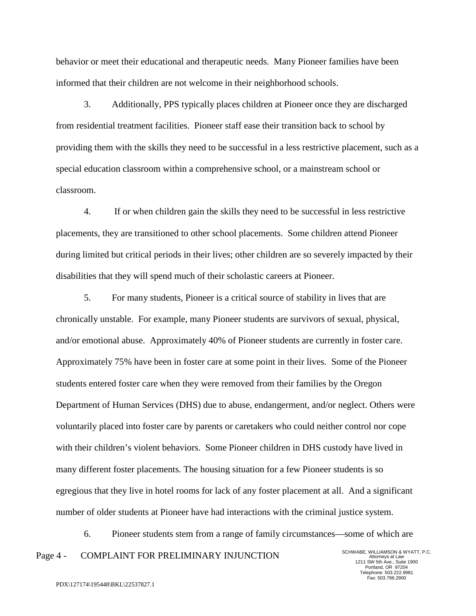behavior or meet their educational and therapeutic needs. Many Pioneer families have been informed that their children are not welcome in their neighborhood schools.

3. Additionally, PPS typically places children at Pioneer once they are discharged from residential treatment facilities. Pioneer staff ease their transition back to school by providing them with the skills they need to be successful in a less restrictive placement, such as a special education classroom within a comprehensive school, or a mainstream school or classroom.

4. If or when children gain the skills they need to be successful in less restrictive placements, they are transitioned to other school placements. Some children attend Pioneer during limited but critical periods in their lives; other children are so severely impacted by their disabilities that they will spend much of their scholastic careers at Pioneer.

5. For many students, Pioneer is a critical source of stability in lives that are chronically unstable. For example, many Pioneer students are survivors of sexual, physical, and/or emotional abuse. Approximately 40% of Pioneer students are currently in foster care. Approximately 75% have been in foster care at some point in their lives. Some of the Pioneer students entered foster care when they were removed from their families by the Oregon Department of Human Services (DHS) due to abuse, endangerment, and/or neglect. Others were voluntarily placed into foster care by parents or caretakers who could neither control nor cope with their children's violent behaviors. Some Pioneer children in DHS custody have lived in many different foster placements. The housing situation for a few Pioneer students is so egregious that they live in hotel rooms for lack of any foster placement at all. And a significant number of older students at Pioneer have had interactions with the criminal justice system.

Page 4 - COMPLAINT FOR PRELIMINARY INJUNCTION SCHWABE, WILLIAMSON & WYATT, P.C. 6. Pioneer students stem from a range of family circumstances—some of which are

Attorneys at Law 1211 SW 5th Ave., Suite 1900 Portland, OR 97204 Telephone: 503.222.9981 Fax: 503.796.2900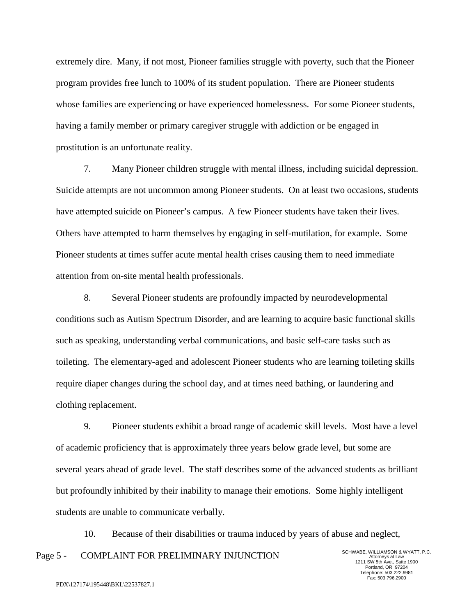extremely dire. Many, if not most, Pioneer families struggle with poverty, such that the Pioneer program provides free lunch to 100% of its student population. There are Pioneer students whose families are experiencing or have experienced homelessness. For some Pioneer students, having a family member or primary caregiver struggle with addiction or be engaged in prostitution is an unfortunate reality.

7. Many Pioneer children struggle with mental illness, including suicidal depression. Suicide attempts are not uncommon among Pioneer students. On at least two occasions, students have attempted suicide on Pioneer's campus. A few Pioneer students have taken their lives. Others have attempted to harm themselves by engaging in self-mutilation, for example. Some Pioneer students at times suffer acute mental health crises causing them to need immediate attention from on-site mental health professionals.

8. Several Pioneer students are profoundly impacted by neurodevelopmental conditions such as Autism Spectrum Disorder, and are learning to acquire basic functional skills such as speaking, understanding verbal communications, and basic self-care tasks such as toileting. The elementary-aged and adolescent Pioneer students who are learning toileting skills require diaper changes during the school day, and at times need bathing, or laundering and clothing replacement.

9. Pioneer students exhibit a broad range of academic skill levels. Most have a level of academic proficiency that is approximately three years below grade level, but some are several years ahead of grade level. The staff describes some of the advanced students as brilliant but profoundly inhibited by their inability to manage their emotions. Some highly intelligent students are unable to communicate verbally.

Page 5 - COMPLAINT FOR PRELIMINARY INJUNCTION SCHWABE, WILLIAMSON & WYATT, P.C. 10. Because of their disabilities or trauma induced by years of abuse and neglect,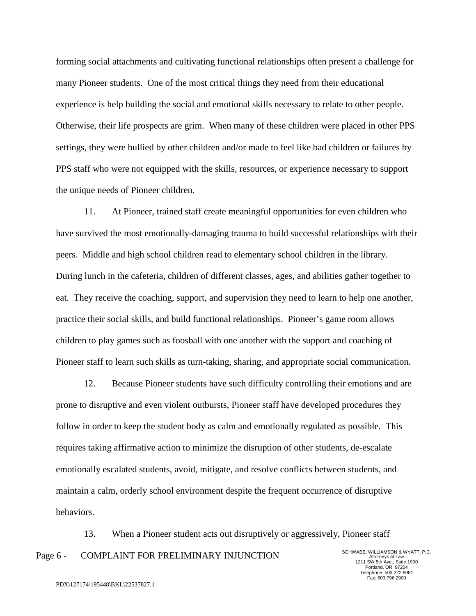forming social attachments and cultivating functional relationships often present a challenge for many Pioneer students. One of the most critical things they need from their educational experience is help building the social and emotional skills necessary to relate to other people. Otherwise, their life prospects are grim. When many of these children were placed in other PPS settings, they were bullied by other children and/or made to feel like bad children or failures by PPS staff who were not equipped with the skills, resources, or experience necessary to support the unique needs of Pioneer children.

11. At Pioneer, trained staff create meaningful opportunities for even children who have survived the most emotionally-damaging trauma to build successful relationships with their peers. Middle and high school children read to elementary school children in the library. During lunch in the cafeteria, children of different classes, ages, and abilities gather together to eat. They receive the coaching, support, and supervision they need to learn to help one another, practice their social skills, and build functional relationships. Pioneer's game room allows children to play games such as foosball with one another with the support and coaching of Pioneer staff to learn such skills as turn-taking, sharing, and appropriate social communication.

12. Because Pioneer students have such difficulty controlling their emotions and are prone to disruptive and even violent outbursts, Pioneer staff have developed procedures they follow in order to keep the student body as calm and emotionally regulated as possible. This requires taking affirmative action to minimize the disruption of other students, de-escalate emotionally escalated students, avoid, mitigate, and resolve conflicts between students, and maintain a calm, orderly school environment despite the frequent occurrence of disruptive behaviors.

Page 6 - COMPLAINT FOR PRELIMINARY INJUNCTION SCHWABE, WILLIAMSON & WYATT, P.C. 13. When a Pioneer student acts out disruptively or aggressively, Pioneer staff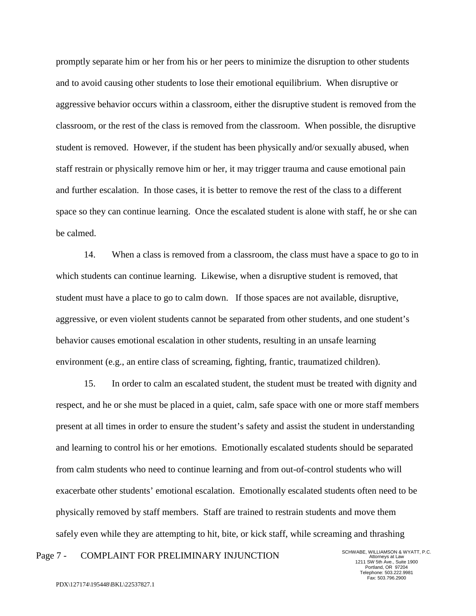promptly separate him or her from his or her peers to minimize the disruption to other students and to avoid causing other students to lose their emotional equilibrium. When disruptive or aggressive behavior occurs within a classroom, either the disruptive student is removed from the classroom, or the rest of the class is removed from the classroom. When possible, the disruptive student is removed. However, if the student has been physically and/or sexually abused, when staff restrain or physically remove him or her, it may trigger trauma and cause emotional pain and further escalation. In those cases, it is better to remove the rest of the class to a different space so they can continue learning. Once the escalated student is alone with staff, he or she can be calmed.

14. When a class is removed from a classroom, the class must have a space to go to in which students can continue learning. Likewise, when a disruptive student is removed, that student must have a place to go to calm down. If those spaces are not available, disruptive, aggressive, or even violent students cannot be separated from other students, and one student's behavior causes emotional escalation in other students, resulting in an unsafe learning environment (e.g., an entire class of screaming, fighting, frantic, traumatized children).

15. In order to calm an escalated student, the student must be treated with dignity and respect, and he or she must be placed in a quiet, calm, safe space with one or more staff members present at all times in order to ensure the student's safety and assist the student in understanding and learning to control his or her emotions. Emotionally escalated students should be separated from calm students who need to continue learning and from out-of-control students who will exacerbate other students' emotional escalation. Emotionally escalated students often need to be physically removed by staff members. Staff are trained to restrain students and move them safely even while they are attempting to hit, bite, or kick staff, while screaming and thrashing

# Page 7 - COMPLAINT FOR PRELIMINARY INJUNCTION SCHWABE, WILLIAMSON & WYATT, P.C.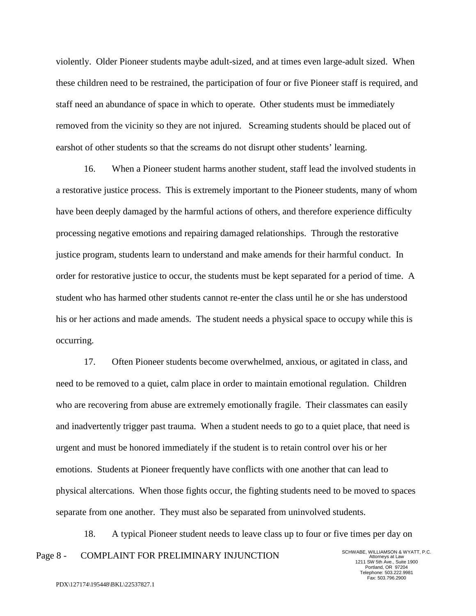violently. Older Pioneer students maybe adult-sized, and at times even large-adult sized. When these children need to be restrained, the participation of four or five Pioneer staff is required, and staff need an abundance of space in which to operate. Other students must be immediately removed from the vicinity so they are not injured. Screaming students should be placed out of earshot of other students so that the screams do not disrupt other students' learning.

16. When a Pioneer student harms another student, staff lead the involved students in a restorative justice process. This is extremely important to the Pioneer students, many of whom have been deeply damaged by the harmful actions of others, and therefore experience difficulty processing negative emotions and repairing damaged relationships. Through the restorative justice program, students learn to understand and make amends for their harmful conduct. In order for restorative justice to occur, the students must be kept separated for a period of time. A student who has harmed other students cannot re-enter the class until he or she has understood his or her actions and made amends. The student needs a physical space to occupy while this is occurring.

17. Often Pioneer students become overwhelmed, anxious, or agitated in class, and need to be removed to a quiet, calm place in order to maintain emotional regulation. Children who are recovering from abuse are extremely emotionally fragile. Their classmates can easily and inadvertently trigger past trauma. When a student needs to go to a quiet place, that need is urgent and must be honored immediately if the student is to retain control over his or her emotions. Students at Pioneer frequently have conflicts with one another that can lead to physical altercations. When those fights occur, the fighting students need to be moved to spaces separate from one another. They must also be separated from uninvolved students.

Page 8 - COMPLAINT FOR PRELIMINARY INJUNCTION SCHWABE, WILLIAMSON & WYATT, P.C. 18. A typical Pioneer student needs to leave class up to four or five times per day on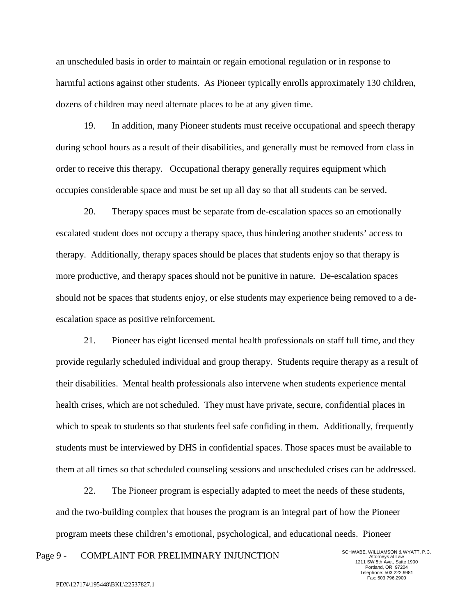an unscheduled basis in order to maintain or regain emotional regulation or in response to harmful actions against other students. As Pioneer typically enrolls approximately 130 children, dozens of children may need alternate places to be at any given time.

19. In addition, many Pioneer students must receive occupational and speech therapy during school hours as a result of their disabilities, and generally must be removed from class in order to receive this therapy. Occupational therapy generally requires equipment which occupies considerable space and must be set up all day so that all students can be served.

20. Therapy spaces must be separate from de-escalation spaces so an emotionally escalated student does not occupy a therapy space, thus hindering another students' access to therapy. Additionally, therapy spaces should be places that students enjoy so that therapy is more productive, and therapy spaces should not be punitive in nature. De-escalation spaces should not be spaces that students enjoy, or else students may experience being removed to a deescalation space as positive reinforcement.

21. Pioneer has eight licensed mental health professionals on staff full time, and they provide regularly scheduled individual and group therapy. Students require therapy as a result of their disabilities. Mental health professionals also intervene when students experience mental health crises, which are not scheduled. They must have private, secure, confidential places in which to speak to students so that students feel safe confiding in them. Additionally, frequently students must be interviewed by DHS in confidential spaces. Those spaces must be available to them at all times so that scheduled counseling sessions and unscheduled crises can be addressed.

22. The Pioneer program is especially adapted to meet the needs of these students, and the two-building complex that houses the program is an integral part of how the Pioneer program meets these children's emotional, psychological, and educational needs. Pioneer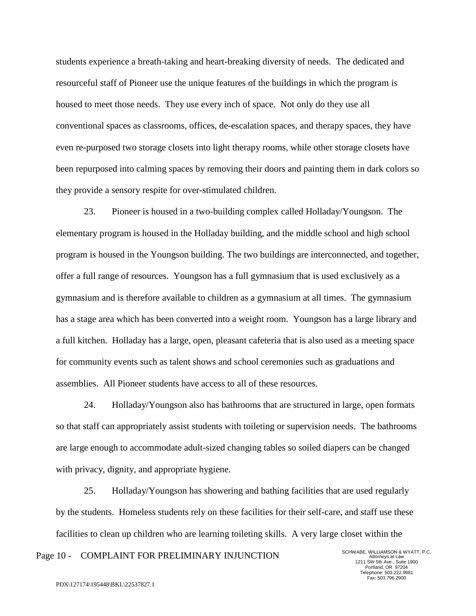students experience a breath-taking and heart-breaking diversity of needs. The dedicated and resourceful staff of Pioneer use the unique features of the buildings in which the program is housed to meet those needs. They use every inch of space. Not only do they use all conventional spaces as classrooms, offices, de-escalation spaces, and therapy spaces, they have even re-purposed two storage closets into light therapy rooms, while other storage closets have been repurposed into calming spaces by removing their doors and painting them in dark colors so they provide a sensory respite for over-stimulated children.

23. Pioneer is housed in a two-building complex called Holladay/Youngson. The elementary program is housed in the Holladay building, and the middle school and high school program is housed in the Youngson building. The two buildings are interconnected, and together, offer a full range of resources. Youngson has a full gymnasium that is used exclusively as a gymnasium and is therefore available to children as a gymnasium at all times. The gymnasium has a stage area which has been converted into a weight room. Youngson has a large library and a full kitchen. Holladay has a large, open, pleasant cafeteria that is also used as a meeting space for community events such as talent shows and school ceremonies such as graduations and assemblies. All Pioneer students have access to all of these resources.

24. Holladay/Youngson also has bathrooms that are structured in large, open formats so that staff can appropriately assist students with toileting or supervision needs. The bathrooms are large enough to accommodate adult-sized changing tables so soiled diapers can be changed with privacy, dignity, and appropriate hygiene.

25. Holladay/Youngson has showering and bathing facilities that are used regularly by the students. Homeless students rely on these facilities for their self-care, and staff use these facilities to clean up children who are learning toileting skills. A very large closet within the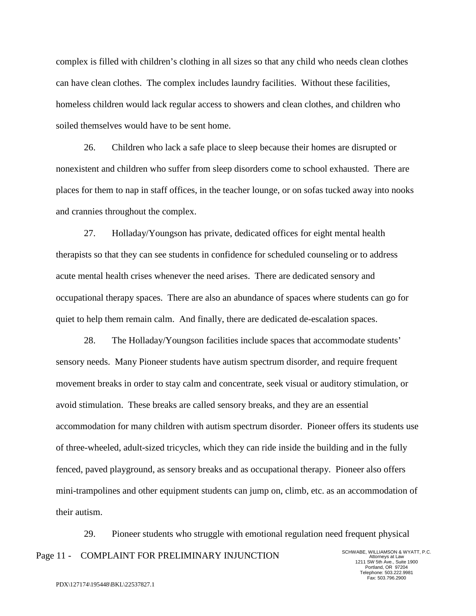complex is filled with children's clothing in all sizes so that any child who needs clean clothes can have clean clothes. The complex includes laundry facilities. Without these facilities, homeless children would lack regular access to showers and clean clothes, and children who soiled themselves would have to be sent home.

26. Children who lack a safe place to sleep because their homes are disrupted or nonexistent and children who suffer from sleep disorders come to school exhausted. There are places for them to nap in staff offices, in the teacher lounge, or on sofas tucked away into nooks and crannies throughout the complex.

27. Holladay/Youngson has private, dedicated offices for eight mental health therapists so that they can see students in confidence for scheduled counseling or to address acute mental health crises whenever the need arises. There are dedicated sensory and occupational therapy spaces. There are also an abundance of spaces where students can go for quiet to help them remain calm. And finally, there are dedicated de-escalation spaces.

28. The Holladay/Youngson facilities include spaces that accommodate students' sensory needs. Many Pioneer students have autism spectrum disorder, and require frequent movement breaks in order to stay calm and concentrate, seek visual or auditory stimulation, or avoid stimulation. These breaks are called sensory breaks, and they are an essential accommodation for many children with autism spectrum disorder. Pioneer offers its students use of three-wheeled, adult-sized tricycles, which they can ride inside the building and in the fully fenced, paved playground, as sensory breaks and as occupational therapy. Pioneer also offers mini-trampolines and other equipment students can jump on, climb, etc. as an accommodation of their autism.

Page 11 - COMPLAINT FOR PRELIMINARY INJUNCTION SCHWABE, WILLIAMSON & WYATT, P.C. 29. Pioneer students who struggle with emotional regulation need frequent physical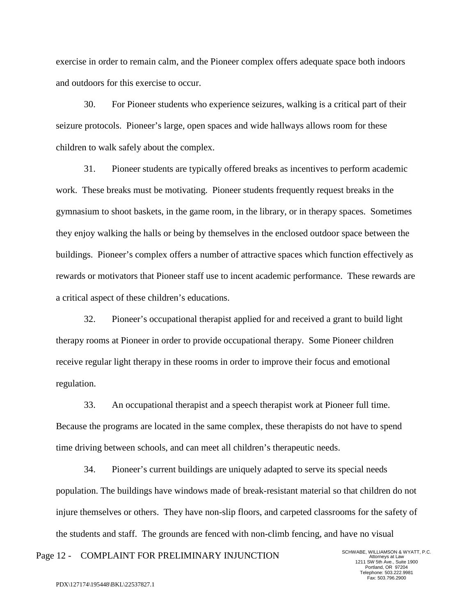exercise in order to remain calm, and the Pioneer complex offers adequate space both indoors and outdoors for this exercise to occur.

30. For Pioneer students who experience seizures, walking is a critical part of their seizure protocols. Pioneer's large, open spaces and wide hallways allows room for these children to walk safely about the complex.

31. Pioneer students are typically offered breaks as incentives to perform academic work. These breaks must be motivating. Pioneer students frequently request breaks in the gymnasium to shoot baskets, in the game room, in the library, or in therapy spaces. Sometimes they enjoy walking the halls or being by themselves in the enclosed outdoor space between the buildings. Pioneer's complex offers a number of attractive spaces which function effectively as rewards or motivators that Pioneer staff use to incent academic performance. These rewards are a critical aspect of these children's educations.

32. Pioneer's occupational therapist applied for and received a grant to build light therapy rooms at Pioneer in order to provide occupational therapy. Some Pioneer children receive regular light therapy in these rooms in order to improve their focus and emotional regulation.

33. An occupational therapist and a speech therapist work at Pioneer full time. Because the programs are located in the same complex, these therapists do not have to spend time driving between schools, and can meet all children's therapeutic needs.

34. Pioneer's current buildings are uniquely adapted to serve its special needs population. The buildings have windows made of break-resistant material so that children do not injure themselves or others. They have non-slip floors, and carpeted classrooms for the safety of the students and staff. The grounds are fenced with non-climb fencing, and have no visual

Page 12 - COMPLAINT FOR PRELIMINARY INJUNCTION SCHWABE, WILLIAMSON & WYATT, P.C.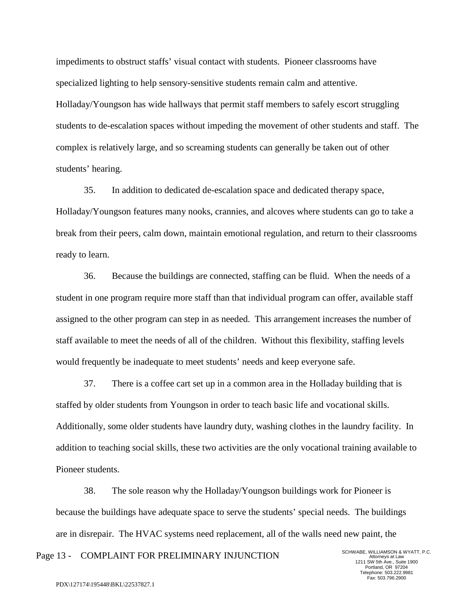impediments to obstruct staffs' visual contact with students. Pioneer classrooms have specialized lighting to help sensory-sensitive students remain calm and attentive. Holladay/Youngson has wide hallways that permit staff members to safely escort struggling students to de-escalation spaces without impeding the movement of other students and staff. The complex is relatively large, and so screaming students can generally be taken out of other students' hearing.

35. In addition to dedicated de-escalation space and dedicated therapy space, Holladay/Youngson features many nooks, crannies, and alcoves where students can go to take a break from their peers, calm down, maintain emotional regulation, and return to their classrooms ready to learn.

36. Because the buildings are connected, staffing can be fluid. When the needs of a student in one program require more staff than that individual program can offer, available staff assigned to the other program can step in as needed. This arrangement increases the number of staff available to meet the needs of all of the children. Without this flexibility, staffing levels would frequently be inadequate to meet students' needs and keep everyone safe.

37. There is a coffee cart set up in a common area in the Holladay building that is staffed by older students from Youngson in order to teach basic life and vocational skills. Additionally, some older students have laundry duty, washing clothes in the laundry facility. In addition to teaching social skills, these two activities are the only vocational training available to Pioneer students.

38. The sole reason why the Holladay/Youngson buildings work for Pioneer is because the buildings have adequate space to serve the students' special needs. The buildings are in disrepair. The HVAC systems need replacement, all of the walls need new paint, the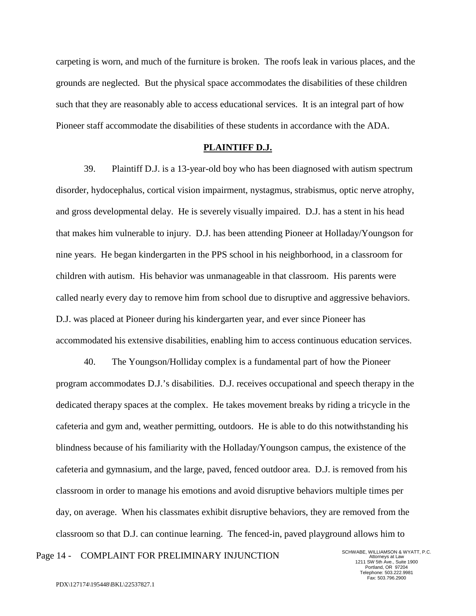carpeting is worn, and much of the furniture is broken. The roofs leak in various places, and the grounds are neglected. But the physical space accommodates the disabilities of these children such that they are reasonably able to access educational services. It is an integral part of how Pioneer staff accommodate the disabilities of these students in accordance with the ADA.

#### **PLAINTIFF D.J.**

39. Plaintiff D.J. is a 13-year-old boy who has been diagnosed with autism spectrum disorder, hydocephalus, cortical vision impairment, nystagmus, strabismus, optic nerve atrophy, and gross developmental delay. He is severely visually impaired. D.J. has a stent in his head that makes him vulnerable to injury. D.J. has been attending Pioneer at Holladay/Youngson for nine years. He began kindergarten in the PPS school in his neighborhood, in a classroom for children with autism. His behavior was unmanageable in that classroom. His parents were called nearly every day to remove him from school due to disruptive and aggressive behaviors. D.J. was placed at Pioneer during his kindergarten year, and ever since Pioneer has accommodated his extensive disabilities, enabling him to access continuous education services.

40. The Youngson/Holliday complex is a fundamental part of how the Pioneer program accommodates D.J.'s disabilities. D.J. receives occupational and speech therapy in the dedicated therapy spaces at the complex. He takes movement breaks by riding a tricycle in the cafeteria and gym and, weather permitting, outdoors. He is able to do this notwithstanding his blindness because of his familiarity with the Holladay/Youngson campus, the existence of the cafeteria and gymnasium, and the large, paved, fenced outdoor area. D.J. is removed from his classroom in order to manage his emotions and avoid disruptive behaviors multiple times per day, on average. When his classmates exhibit disruptive behaviors, they are removed from the classroom so that D.J. can continue learning. The fenced-in, paved playground allows him to

Page 14 - COMPLAINT FOR PRELIMINARY INJUNCTION SCHWABE, WILLIAMSON & WYATT, P.C.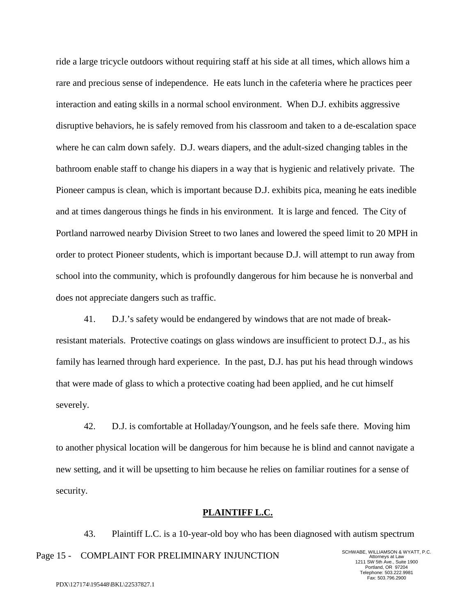ride a large tricycle outdoors without requiring staff at his side at all times, which allows him a rare and precious sense of independence. He eats lunch in the cafeteria where he practices peer interaction and eating skills in a normal school environment. When D.J. exhibits aggressive disruptive behaviors, he is safely removed from his classroom and taken to a de-escalation space where he can calm down safely. D.J. wears diapers, and the adult-sized changing tables in the bathroom enable staff to change his diapers in a way that is hygienic and relatively private. The Pioneer campus is clean, which is important because D.J. exhibits pica, meaning he eats inedible and at times dangerous things he finds in his environment. It is large and fenced. The City of Portland narrowed nearby Division Street to two lanes and lowered the speed limit to 20 MPH in order to protect Pioneer students, which is important because D.J. will attempt to run away from school into the community, which is profoundly dangerous for him because he is nonverbal and does not appreciate dangers such as traffic.

41. D.J.'s safety would be endangered by windows that are not made of breakresistant materials. Protective coatings on glass windows are insufficient to protect D.J., as his family has learned through hard experience. In the past, D.J. has put his head through windows that were made of glass to which a protective coating had been applied, and he cut himself severely.

42. D.J. is comfortable at Holladay/Youngson, and he feels safe there. Moving him to another physical location will be dangerous for him because he is blind and cannot navigate a new setting, and it will be upsetting to him because he relies on familiar routines for a sense of security.

# **PLAINTIFF L.C.**

43. Plaintiff L.C. is a 10-year-old boy who has been diagnosed with autism spectrum

Page 15 - COMPLAINT FOR PRELIMINARY INJUNCTION SCHWABE, WILLIAMSON & WYATT, P.C.

Attorneys at Law 1211 SW 5th Ave., Suite 1900 Portland, OR 97204 Telephone: 503.222.9981 Fax: 503.796.2900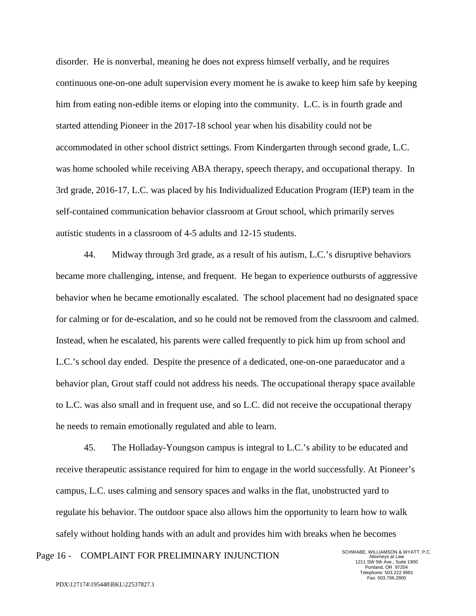disorder. He is nonverbal, meaning he does not express himself verbally, and he requires continuous one-on-one adult supervision every moment he is awake to keep him safe by keeping him from eating non-edible items or eloping into the community. L.C. is in fourth grade and started attending Pioneer in the 2017-18 school year when his disability could not be accommodated in other school district settings. From Kindergarten through second grade, L.C. was home schooled while receiving ABA therapy, speech therapy, and occupational therapy. In 3rd grade, 2016-17, L.C. was placed by his Individualized Education Program (IEP) team in the self-contained communication behavior classroom at Grout school, which primarily serves autistic students in a classroom of 4-5 adults and 12-15 students.

44. Midway through 3rd grade, as a result of his autism, L.C.'s disruptive behaviors became more challenging, intense, and frequent. He began to experience outbursts of aggressive behavior when he became emotionally escalated. The school placement had no designated space for calming or for de-escalation, and so he could not be removed from the classroom and calmed. Instead, when he escalated, his parents were called frequently to pick him up from school and L.C.'s school day ended. Despite the presence of a dedicated, one-on-one paraeducator and a behavior plan, Grout staff could not address his needs. The occupational therapy space available to L.C. was also small and in frequent use, and so L.C. did not receive the occupational therapy he needs to remain emotionally regulated and able to learn.

45. The Holladay-Youngson campus is integral to L.C.'s ability to be educated and receive therapeutic assistance required for him to engage in the world successfully. At Pioneer's campus, L.C. uses calming and sensory spaces and walks in the flat, unobstructed yard to regulate his behavior. The outdoor space also allows him the opportunity to learn how to walk safely without holding hands with an adult and provides him with breaks when he becomes

# Page 16 - COMPLAINT FOR PRELIMINARY INJUNCTION SCHWABE, WILLIAMSON & WYATT, P.C.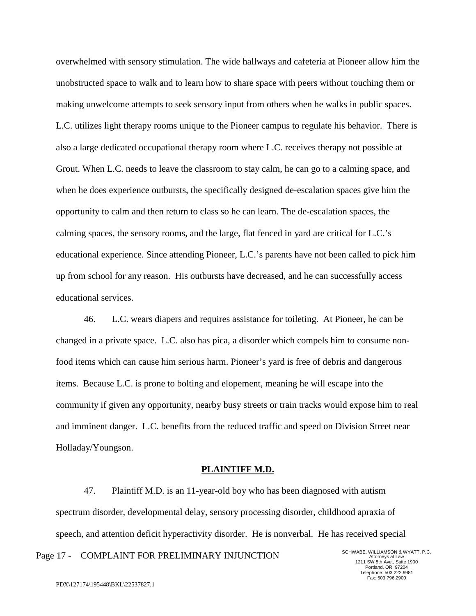overwhelmed with sensory stimulation. The wide hallways and cafeteria at Pioneer allow him the unobstructed space to walk and to learn how to share space with peers without touching them or making unwelcome attempts to seek sensory input from others when he walks in public spaces. L.C. utilizes light therapy rooms unique to the Pioneer campus to regulate his behavior. There is also a large dedicated occupational therapy room where L.C. receives therapy not possible at Grout. When L.C. needs to leave the classroom to stay calm, he can go to a calming space, and when he does experience outbursts, the specifically designed de-escalation spaces give him the opportunity to calm and then return to class so he can learn. The de-escalation spaces, the calming spaces, the sensory rooms, and the large, flat fenced in yard are critical for L.C.'s educational experience. Since attending Pioneer, L.C.'s parents have not been called to pick him up from school for any reason. His outbursts have decreased, and he can successfully access educational services.

46. L.C. wears diapers and requires assistance for toileting. At Pioneer, he can be changed in a private space. L.C. also has pica, a disorder which compels him to consume nonfood items which can cause him serious harm. Pioneer's yard is free of debris and dangerous items. Because L.C. is prone to bolting and elopement, meaning he will escape into the community if given any opportunity, nearby busy streets or train tracks would expose him to real and imminent danger. L.C. benefits from the reduced traffic and speed on Division Street near Holladay/Youngson.

## **PLAINTIFF M.D.**

47. Plaintiff M.D. is an 11-year-old boy who has been diagnosed with autism spectrum disorder, developmental delay, sensory processing disorder, childhood apraxia of speech, and attention deficit hyperactivity disorder. He is nonverbal. He has received special

Page 17 - COMPLAINT FOR PRELIMINARY INJUNCTION SCHWABE, WILLIAMSON & WYATT, P.C.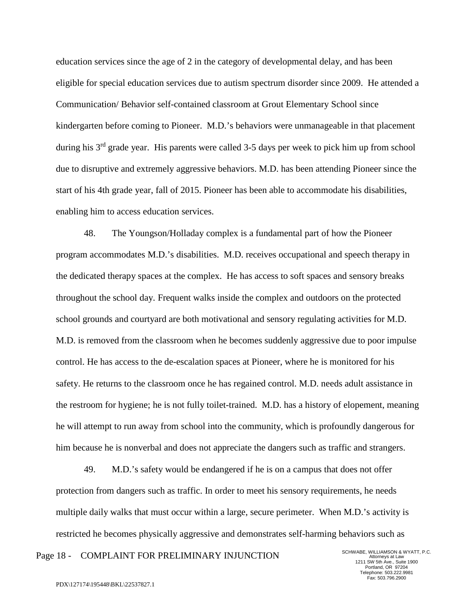education services since the age of 2 in the category of developmental delay, and has been eligible for special education services due to autism spectrum disorder since 2009. He attended a Communication/ Behavior self-contained classroom at Grout Elementary School since kindergarten before coming to Pioneer. M.D.'s behaviors were unmanageable in that placement during his  $3<sup>rd</sup>$  grade year. His parents were called 3-5 days per week to pick him up from school due to disruptive and extremely aggressive behaviors. M.D. has been attending Pioneer since the start of his 4th grade year, fall of 2015. Pioneer has been able to accommodate his disabilities, enabling him to access education services.

48. The Youngson/Holladay complex is a fundamental part of how the Pioneer program accommodates M.D.'s disabilities. M.D. receives occupational and speech therapy in the dedicated therapy spaces at the complex. He has access to soft spaces and sensory breaks throughout the school day. Frequent walks inside the complex and outdoors on the protected school grounds and courtyard are both motivational and sensory regulating activities for M.D. M.D. is removed from the classroom when he becomes suddenly aggressive due to poor impulse control. He has access to the de-escalation spaces at Pioneer, where he is monitored for his safety. He returns to the classroom once he has regained control. M.D. needs adult assistance in the restroom for hygiene; he is not fully toilet-trained. M.D. has a history of elopement, meaning he will attempt to run away from school into the community, which is profoundly dangerous for him because he is nonverbal and does not appreciate the dangers such as traffic and strangers.

49. M.D.'s safety would be endangered if he is on a campus that does not offer protection from dangers such as traffic. In order to meet his sensory requirements, he needs multiple daily walks that must occur within a large, secure perimeter. When M.D.'s activity is restricted he becomes physically aggressive and demonstrates self-harming behaviors such as

Page 18 - COMPLAINT FOR PRELIMINARY INJUNCTION SCHWABE, WILLIAMSON & WYATT, P.C.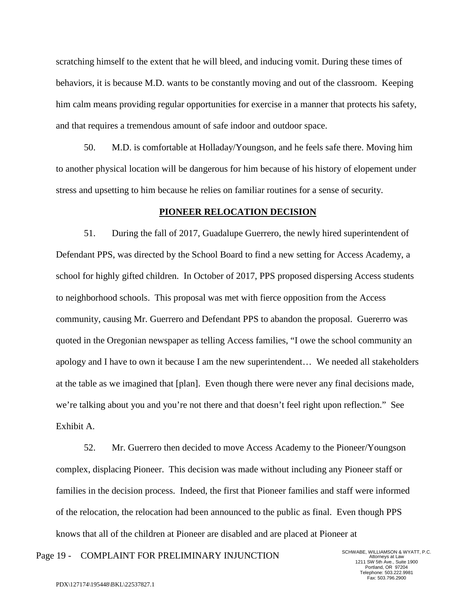scratching himself to the extent that he will bleed, and inducing vomit. During these times of behaviors, it is because M.D. wants to be constantly moving and out of the classroom. Keeping him calm means providing regular opportunities for exercise in a manner that protects his safety, and that requires a tremendous amount of safe indoor and outdoor space.

50. M.D. is comfortable at Holladay/Youngson, and he feels safe there. Moving him to another physical location will be dangerous for him because of his history of elopement under stress and upsetting to him because he relies on familiar routines for a sense of security.

#### **PIONEER RELOCATION DECISION**

51. During the fall of 2017, Guadalupe Guerrero, the newly hired superintendent of Defendant PPS, was directed by the School Board to find a new setting for Access Academy, a school for highly gifted children. In October of 2017, PPS proposed dispersing Access students to neighborhood schools. This proposal was met with fierce opposition from the Access community, causing Mr. Guerrero and Defendant PPS to abandon the proposal. Guererro was quoted in the Oregonian newspaper as telling Access families, "I owe the school community an apology and I have to own it because I am the new superintendent… We needed all stakeholders at the table as we imagined that [plan]. Even though there were never any final decisions made, we're talking about you and you're not there and that doesn't feel right upon reflection." See Exhibit A.

52. Mr. Guerrero then decided to move Access Academy to the Pioneer/Youngson complex, displacing Pioneer. This decision was made without including any Pioneer staff or families in the decision process. Indeed, the first that Pioneer families and staff were informed of the relocation, the relocation had been announced to the public as final. Even though PPS knows that all of the children at Pioneer are disabled and are placed at Pioneer at

Page 19 - COMPLAINT FOR PRELIMINARY INJUNCTION SCHWABE, WILLIAMSON & WYATT, P.C.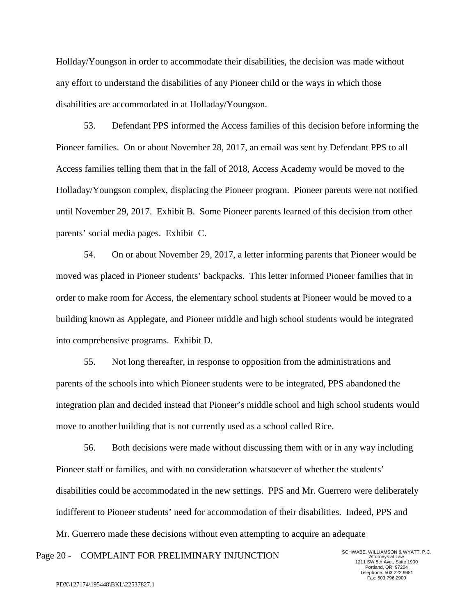Hollday/Youngson in order to accommodate their disabilities, the decision was made without any effort to understand the disabilities of any Pioneer child or the ways in which those disabilities are accommodated in at Holladay/Youngson.

53. Defendant PPS informed the Access families of this decision before informing the Pioneer families. On or about November 28, 2017, an email was sent by Defendant PPS to all Access families telling them that in the fall of 2018, Access Academy would be moved to the Holladay/Youngson complex, displacing the Pioneer program. Pioneer parents were not notified until November 29, 2017. Exhibit B. Some Pioneer parents learned of this decision from other parents' social media pages. Exhibit C.

54. On or about November 29, 2017, a letter informing parents that Pioneer would be moved was placed in Pioneer students' backpacks. This letter informed Pioneer families that in order to make room for Access, the elementary school students at Pioneer would be moved to a building known as Applegate, and Pioneer middle and high school students would be integrated into comprehensive programs. Exhibit D.

55. Not long thereafter, in response to opposition from the administrations and parents of the schools into which Pioneer students were to be integrated, PPS abandoned the integration plan and decided instead that Pioneer's middle school and high school students would move to another building that is not currently used as a school called Rice.

56. Both decisions were made without discussing them with or in any way including Pioneer staff or families, and with no consideration whatsoever of whether the students' disabilities could be accommodated in the new settings. PPS and Mr. Guerrero were deliberately indifferent to Pioneer students' need for accommodation of their disabilities. Indeed, PPS and Mr. Guerrero made these decisions without even attempting to acquire an adequate

Page 20 - COMPLAINT FOR PRELIMINARY INJUNCTION SCHWABE, WILLIAMSON & WYATT, P.C.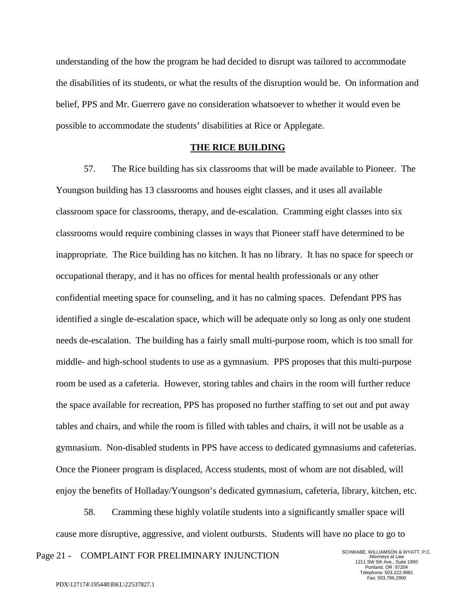understanding of the how the program he had decided to disrupt was tailored to accommodate the disabilities of its students, or what the results of the disruption would be. On information and belief, PPS and Mr. Guerrero gave no consideration whatsoever to whether it would even be possible to accommodate the students' disabilities at Rice or Applegate.

#### **THE RICE BUILDING**

57. The Rice building has six classrooms that will be made available to Pioneer. The Youngson building has 13 classrooms and houses eight classes, and it uses all available classroom space for classrooms, therapy, and de-escalation. Cramming eight classes into six classrooms would require combining classes in ways that Pioneer staff have determined to be inappropriate. The Rice building has no kitchen. It has no library. It has no space for speech or occupational therapy, and it has no offices for mental health professionals or any other confidential meeting space for counseling, and it has no calming spaces. Defendant PPS has identified a single de-escalation space, which will be adequate only so long as only one student needs de-escalation. The building has a fairly small multi-purpose room, which is too small for middle- and high-school students to use as a gymnasium. PPS proposes that this multi-purpose room be used as a cafeteria. However, storing tables and chairs in the room will further reduce the space available for recreation, PPS has proposed no further staffing to set out and put away tables and chairs, and while the room is filled with tables and chairs, it will not be usable as a gymnasium. Non-disabled students in PPS have access to dedicated gymnasiums and cafeterias. Once the Pioneer program is displaced, Access students, most of whom are not disabled, will enjoy the benefits of Holladay/Youngson's dedicated gymnasium, cafeteria, library, kitchen, etc.

58. Cramming these highly volatile students into a significantly smaller space will cause more disruptive, aggressive, and violent outbursts. Students will have no place to go to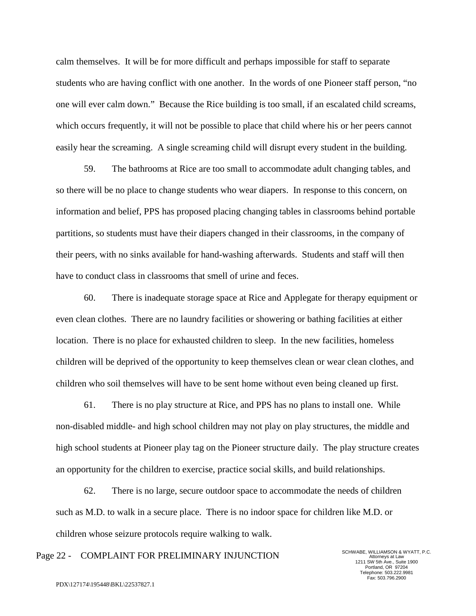calm themselves. It will be for more difficult and perhaps impossible for staff to separate students who are having conflict with one another. In the words of one Pioneer staff person, "no one will ever calm down." Because the Rice building is too small, if an escalated child screams, which occurs frequently, it will not be possible to place that child where his or her peers cannot easily hear the screaming. A single screaming child will disrupt every student in the building.

59. The bathrooms at Rice are too small to accommodate adult changing tables, and so there will be no place to change students who wear diapers. In response to this concern, on information and belief, PPS has proposed placing changing tables in classrooms behind portable partitions, so students must have their diapers changed in their classrooms, in the company of their peers, with no sinks available for hand-washing afterwards. Students and staff will then have to conduct class in classrooms that smell of urine and feces.

60. There is inadequate storage space at Rice and Applegate for therapy equipment or even clean clothes. There are no laundry facilities or showering or bathing facilities at either location. There is no place for exhausted children to sleep. In the new facilities, homeless children will be deprived of the opportunity to keep themselves clean or wear clean clothes, and children who soil themselves will have to be sent home without even being cleaned up first.

61. There is no play structure at Rice, and PPS has no plans to install one. While non-disabled middle- and high school children may not play on play structures, the middle and high school students at Pioneer play tag on the Pioneer structure daily. The play structure creates an opportunity for the children to exercise, practice social skills, and build relationships.

62. There is no large, secure outdoor space to accommodate the needs of children such as M.D. to walk in a secure place. There is no indoor space for children like M.D. or children whose seizure protocols require walking to walk.

# Page 22 - COMPLAINT FOR PRELIMINARY INJUNCTION SCHWABE, WILLIAMSON & WYATT, P.C.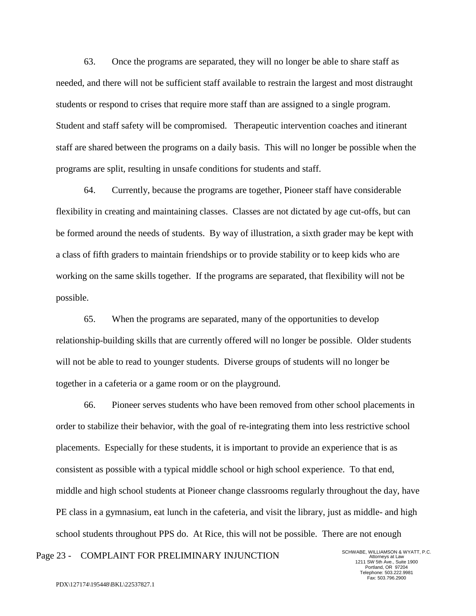63. Once the programs are separated, they will no longer be able to share staff as needed, and there will not be sufficient staff available to restrain the largest and most distraught students or respond to crises that require more staff than are assigned to a single program. Student and staff safety will be compromised. Therapeutic intervention coaches and itinerant staff are shared between the programs on a daily basis. This will no longer be possible when the programs are split, resulting in unsafe conditions for students and staff.

64. Currently, because the programs are together, Pioneer staff have considerable flexibility in creating and maintaining classes. Classes are not dictated by age cut-offs, but can be formed around the needs of students. By way of illustration, a sixth grader may be kept with a class of fifth graders to maintain friendships or to provide stability or to keep kids who are working on the same skills together. If the programs are separated, that flexibility will not be possible.

65. When the programs are separated, many of the opportunities to develop relationship-building skills that are currently offered will no longer be possible. Older students will not be able to read to younger students. Diverse groups of students will no longer be together in a cafeteria or a game room or on the playground.

66. Pioneer serves students who have been removed from other school placements in order to stabilize their behavior, with the goal of re-integrating them into less restrictive school placements. Especially for these students, it is important to provide an experience that is as consistent as possible with a typical middle school or high school experience. To that end, middle and high school students at Pioneer change classrooms regularly throughout the day, have PE class in a gymnasium, eat lunch in the cafeteria, and visit the library, just as middle- and high school students throughout PPS do. At Rice, this will not be possible. There are not enough

# Page 23 - COMPLAINT FOR PRELIMINARY INJUNCTION SCHWABE, WILLIAMSON & WYATT, P.C.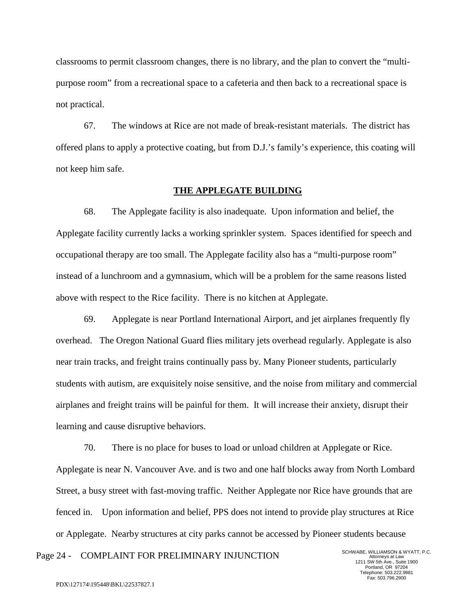classrooms to permit classroom changes, there is no library, and the plan to convert the "multipurpose room" from a recreational space to a cafeteria and then back to a recreational space is not practical.

67. The windows at Rice are not made of break-resistant materials. The district has offered plans to apply a protective coating, but from D.J.'s family's experience, this coating will not keep him safe.

#### **THE APPLEGATE BUILDING**

68. The Applegate facility is also inadequate. Upon information and belief, the Applegate facility currently lacks a working sprinkler system. Spaces identified for speech and occupational therapy are too small. The Applegate facility also has a "multi-purpose room" instead of a lunchroom and a gymnasium, which will be a problem for the same reasons listed above with respect to the Rice facility. There is no kitchen at Applegate.

69. Applegate is near Portland International Airport, and jet airplanes frequently fly overhead. The Oregon National Guard flies military jets overhead regularly. Applegate is also near train tracks, and freight trains continually pass by. Many Pioneer students, particularly students with autism, are exquisitely noise sensitive, and the noise from military and commercial airplanes and freight trains will be painful for them. It will increase their anxiety, disrupt their learning and cause disruptive behaviors.

70. There is no place for buses to load or unload children at Applegate or Rice. Applegate is near N. Vancouver Ave. and is two and one half blocks away from North Lombard Street, a busy street with fast-moving traffic. Neither Applegate nor Rice have grounds that are fenced in. Upon information and belief, PPS does not intend to provide play structures at Rice or Applegate. Nearby structures at city parks cannot be accessed by Pioneer students because

Attorneys at Law 1211 SW 5th Ave., Suite 1900 Portland, OR 97204 Telephone: 503.222.9981 Fax: 503.796.2900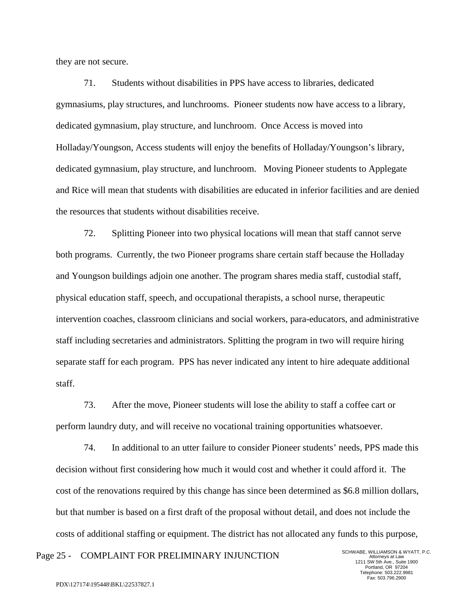they are not secure.

71. Students without disabilities in PPS have access to libraries, dedicated gymnasiums, play structures, and lunchrooms. Pioneer students now have access to a library, dedicated gymnasium, play structure, and lunchroom. Once Access is moved into Holladay/Youngson, Access students will enjoy the benefits of Holladay/Youngson's library, dedicated gymnasium, play structure, and lunchroom. Moving Pioneer students to Applegate and Rice will mean that students with disabilities are educated in inferior facilities and are denied the resources that students without disabilities receive.

72. Splitting Pioneer into two physical locations will mean that staff cannot serve both programs. Currently, the two Pioneer programs share certain staff because the Holladay and Youngson buildings adjoin one another. The program shares media staff, custodial staff, physical education staff, speech, and occupational therapists, a school nurse, therapeutic intervention coaches, classroom clinicians and social workers, para-educators, and administrative staff including secretaries and administrators. Splitting the program in two will require hiring separate staff for each program. PPS has never indicated any intent to hire adequate additional staff.

73. After the move, Pioneer students will lose the ability to staff a coffee cart or perform laundry duty, and will receive no vocational training opportunities whatsoever.

74. In additional to an utter failure to consider Pioneer students' needs, PPS made this decision without first considering how much it would cost and whether it could afford it. The cost of the renovations required by this change has since been determined as \$6.8 million dollars, but that number is based on a first draft of the proposal without detail, and does not include the costs of additional staffing or equipment. The district has not allocated any funds to this purpose,

Page 25 - COMPLAINT FOR PRELIMINARY INJUNCTION SCHWABE, WILLIAMSON & WYATT, P.C.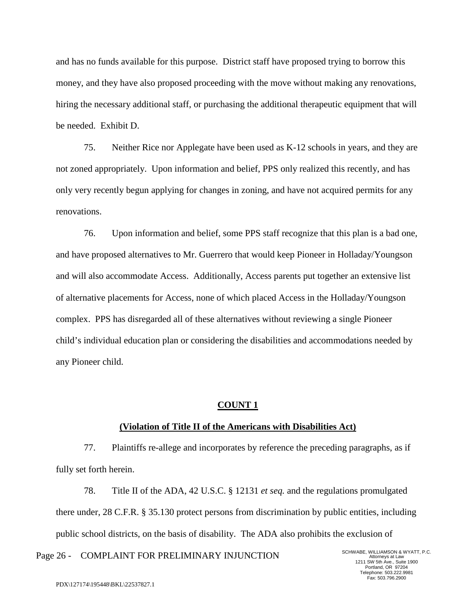and has no funds available for this purpose. District staff have proposed trying to borrow this money, and they have also proposed proceeding with the move without making any renovations, hiring the necessary additional staff, or purchasing the additional therapeutic equipment that will be needed. Exhibit D.

75. Neither Rice nor Applegate have been used as K-12 schools in years, and they are not zoned appropriately. Upon information and belief, PPS only realized this recently, and has only very recently begun applying for changes in zoning, and have not acquired permits for any renovations.

76. Upon information and belief, some PPS staff recognize that this plan is a bad one, and have proposed alternatives to Mr. Guerrero that would keep Pioneer in Holladay/Youngson and will also accommodate Access. Additionally, Access parents put together an extensive list of alternative placements for Access, none of which placed Access in the Holladay/Youngson complex. PPS has disregarded all of these alternatives without reviewing a single Pioneer child's individual education plan or considering the disabilities and accommodations needed by any Pioneer child.

#### **COUNT 1**

#### **(Violation of Title II of the Americans with Disabilities Act)**

77. Plaintiffs re-allege and incorporates by reference the preceding paragraphs, as if fully set forth herein.

78. Title II of the ADA, 42 U.S.C. § 12131 *et seq.* and the regulations promulgated there under, 28 C.F.R. § 35.130 protect persons from discrimination by public entities, including public school districts, on the basis of disability. The ADA also prohibits the exclusion of

Page 26 - COMPLAINT FOR PRELIMINARY INJUNCTION SCHWABE, WILLIAMSON & WYATT, P.C.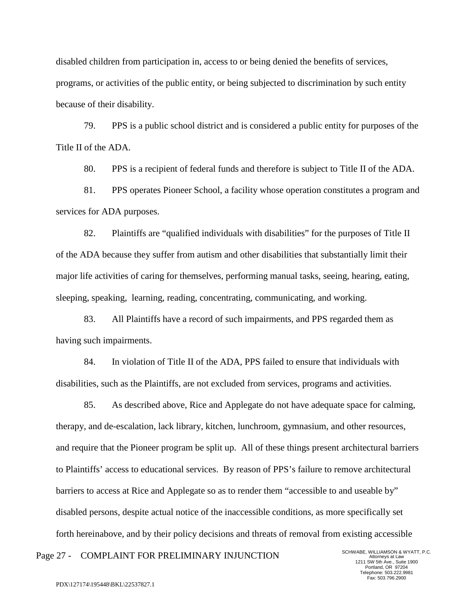disabled children from participation in, access to or being denied the benefits of services, programs, or activities of the public entity, or being subjected to discrimination by such entity because of their disability.

79. PPS is a public school district and is considered a public entity for purposes of the Title II of the ADA.

80. PPS is a recipient of federal funds and therefore is subject to Title II of the ADA.

81. PPS operates Pioneer School, a facility whose operation constitutes a program and services for ADA purposes.

82. Plaintiffs are "qualified individuals with disabilities" for the purposes of Title II of the ADA because they suffer from autism and other disabilities that substantially limit their major life activities of caring for themselves, performing manual tasks, seeing, hearing, eating, sleeping, speaking, learning, reading, concentrating, communicating, and working.

83. All Plaintiffs have a record of such impairments, and PPS regarded them as having such impairments.

84. In violation of Title II of the ADA, PPS failed to ensure that individuals with disabilities, such as the Plaintiffs, are not excluded from services, programs and activities.

85. As described above, Rice and Applegate do not have adequate space for calming, therapy, and de-escalation, lack library, kitchen, lunchroom, gymnasium, and other resources, and require that the Pioneer program be split up. All of these things present architectural barriers to Plaintiffs' access to educational services. By reason of PPS's failure to remove architectural barriers to access at Rice and Applegate so as to render them "accessible to and useable by" disabled persons, despite actual notice of the inaccessible conditions, as more specifically set forth hereinabove, and by their policy decisions and threats of removal from existing accessible

Page 27 - COMPLAINT FOR PRELIMINARY INJUNCTION SCHWABE, WILLIAMSON & WYATT, P.C.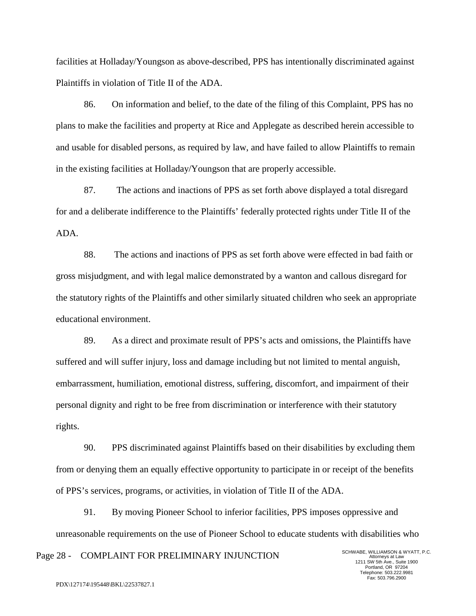facilities at Holladay/Youngson as above-described, PPS has intentionally discriminated against Plaintiffs in violation of Title II of the ADA.

86. On information and belief, to the date of the filing of this Complaint, PPS has no plans to make the facilities and property at Rice and Applegate as described herein accessible to and usable for disabled persons, as required by law, and have failed to allow Plaintiffs to remain in the existing facilities at Holladay/Youngson that are properly accessible.

87. The actions and inactions of PPS as set forth above displayed a total disregard for and a deliberate indifference to the Plaintiffs' federally protected rights under Title II of the ADA.

88. The actions and inactions of PPS as set forth above were effected in bad faith or gross misjudgment, and with legal malice demonstrated by a wanton and callous disregard for the statutory rights of the Plaintiffs and other similarly situated children who seek an appropriate educational environment.

89. As a direct and proximate result of PPS's acts and omissions, the Plaintiffs have suffered and will suffer injury, loss and damage including but not limited to mental anguish, embarrassment, humiliation, emotional distress, suffering, discomfort, and impairment of their personal dignity and right to be free from discrimination or interference with their statutory rights.

90. PPS discriminated against Plaintiffs based on their disabilities by excluding them from or denying them an equally effective opportunity to participate in or receipt of the benefits of PPS's services, programs, or activities, in violation of Title II of the ADA.

91. By moving Pioneer School to inferior facilities, PPS imposes oppressive and unreasonable requirements on the use of Pioneer School to educate students with disabilities who

Page 28 - COMPLAINT FOR PRELIMINARY INJUNCTION SCHWABE, WILLIAMSON & WYATT, P.C.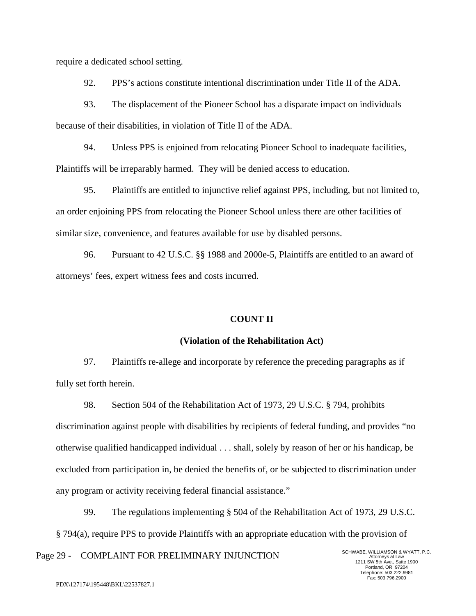require a dedicated school setting.

92. PPS's actions constitute intentional discrimination under Title II of the ADA.

93. The displacement of the Pioneer School has a disparate impact on individuals because of their disabilities, in violation of Title II of the ADA.

94. Unless PPS is enjoined from relocating Pioneer School to inadequate facilities, Plaintiffs will be irreparably harmed. They will be denied access to education.

95. Plaintiffs are entitled to injunctive relief against PPS, including, but not limited to, an order enjoining PPS from relocating the Pioneer School unless there are other facilities of similar size, convenience, and features available for use by disabled persons.

96. Pursuant to 42 U.S.C. §§ 1988 and 2000e-5, Plaintiffs are entitled to an award of attorneys' fees, expert witness fees and costs incurred.

## **COUNT II**

#### **(Violation of the Rehabilitation Act)**

97. Plaintiffs re-allege and incorporate by reference the preceding paragraphs as if fully set forth herein.

98. Section 504 of the Rehabilitation Act of 1973, 29 U.S.C. § 794, prohibits discrimination against people with disabilities by recipients of federal funding, and provides "no otherwise qualified handicapped individual . . . shall, solely by reason of her or his handicap, be excluded from participation in, be denied the benefits of, or be subjected to discrimination under any program or activity receiving federal financial assistance."

99. The regulations implementing § 504 of the Rehabilitation Act of 1973, 29 U.S.C. § 794(a), require PPS to provide Plaintiffs with an appropriate education with the provision of

Page 29 - COMPLAINT FOR PRELIMINARY INJUNCTION SCHWABE, WILLIAMSON & WYATT, P.C.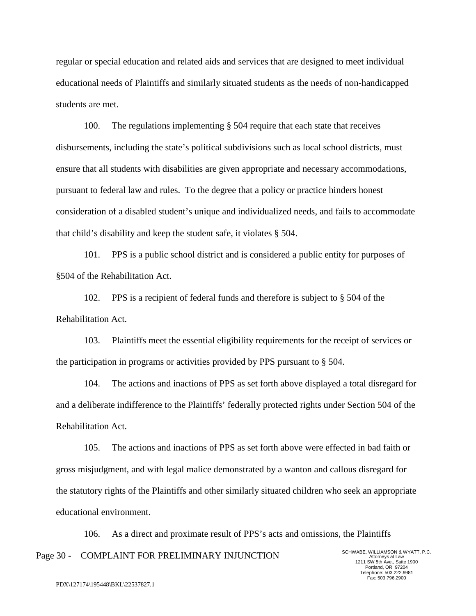regular or special education and related aids and services that are designed to meet individual educational needs of Plaintiffs and similarly situated students as the needs of non-handicapped students are met.

100. The regulations implementing § 504 require that each state that receives disbursements, including the state's political subdivisions such as local school districts, must ensure that all students with disabilities are given appropriate and necessary accommodations, pursuant to federal law and rules. To the degree that a policy or practice hinders honest consideration of a disabled student's unique and individualized needs, and fails to accommodate that child's disability and keep the student safe, it violates § 504.

101. PPS is a public school district and is considered a public entity for purposes of §504 of the Rehabilitation Act.

102. PPS is a recipient of federal funds and therefore is subject to § 504 of the Rehabilitation Act.

103. Plaintiffs meet the essential eligibility requirements for the receipt of services or the participation in programs or activities provided by PPS pursuant to § 504.

104. The actions and inactions of PPS as set forth above displayed a total disregard for and a deliberate indifference to the Plaintiffs' federally protected rights under Section 504 of the Rehabilitation Act.

105. The actions and inactions of PPS as set forth above were effected in bad faith or gross misjudgment, and with legal malice demonstrated by a wanton and callous disregard for the statutory rights of the Plaintiffs and other similarly situated children who seek an appropriate educational environment.

Page 30 - COMPLAINT FOR PRELIMINARY INJUNCTION 106. As a direct and proximate result of PPS's acts and omissions, the Plaintiffs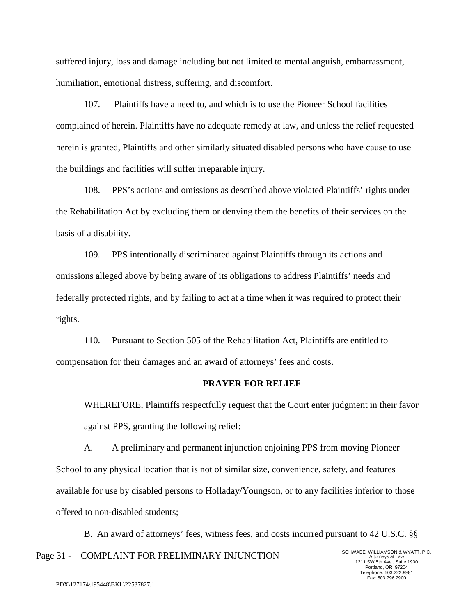suffered injury, loss and damage including but not limited to mental anguish, embarrassment, humiliation, emotional distress, suffering, and discomfort.

107. Plaintiffs have a need to, and which is to use the Pioneer School facilities complained of herein. Plaintiffs have no adequate remedy at law, and unless the relief requested herein is granted, Plaintiffs and other similarly situated disabled persons who have cause to use the buildings and facilities will suffer irreparable injury.

108. PPS's actions and omissions as described above violated Plaintiffs' rights under the Rehabilitation Act by excluding them or denying them the benefits of their services on the basis of a disability.

109. PPS intentionally discriminated against Plaintiffs through its actions and omissions alleged above by being aware of its obligations to address Plaintiffs' needs and federally protected rights, and by failing to act at a time when it was required to protect their rights.

110. Pursuant to Section 505 of the Rehabilitation Act, Plaintiffs are entitled to compensation for their damages and an award of attorneys' fees and costs.

## **PRAYER FOR RELIEF**

WHEREFORE, Plaintiffs respectfully request that the Court enter judgment in their favor against PPS, granting the following relief:

A. A preliminary and permanent injunction enjoining PPS from moving Pioneer School to any physical location that is not of similar size, convenience, safety, and features available for use by disabled persons to Holladay/Youngson, or to any facilities inferior to those offered to non-disabled students;

Page 31 - COMPLAINT FOR PRELIMINARY INJUNCTION B. An award of attorneys' fees, witness fees, and costs incurred pursuant to 42 U.S.C. §§